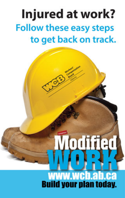## Injured at work? **Follow these easy steps** to get back on track.

#### www.wcb.ab.ca **Build your plan today.**

**Modified**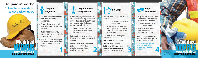**Injured at work? Follow these easy steps to get back on track.** 



## • *J;-.. Tell your* **n** *employer*

Let your supervisor know how your accident happened.

- Discuss how you can alter your job duties while you recover.
- If you need time away. plan to stay in touch while you recover.

• Find out if your employer has an Occupational Injury Services clinic available for you.

**1** 

#### *� Tell your health*  **W** *care provider*

• If your employer has access to an Occupational Injury Services clinic - take advantage for faster service and knowledgeable return-to-work advice.

> • Clinic doctors can see you within 30 minutes if you call ahead.

• Let your treatment provider know your accident happened at work.

• Discuss with your treatment provider how you can modify your job duties **2** while you recover.

**I** *J�Tell WCB* 

• Report your injury to WCB-Alberta online.

- Confirm your return-to-work options with WCB.
- Share your ideas with your WCB contact for modifying your job to help you return to work safely.

Questions about coverage or need help?

**Edmonton: 780-498-3999 Calgary: 403-517-6000**  Toll free in Alberta: 1-866-922-9221 **Toll free outside Alberta: 1-800-661-9608** (in Canada)

I



• Stay connected with your supervisor. Call regularly to share your progress.

- Discuss modified work options and dates.
- Play an active role in your recovery and return-to-work plan.

For more information about your case plan and return to work options, visit

**WCB-161** 

(FEB 2014)

**Build your plan today.** 

*[httpsJ/www. web.ab.ea/](https://www.wcb.ab.ca/return-to-work/return-to-work-planning/for-workers.html)  return-to-work/returnto-work-p/anning/for-4 <b>1*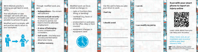WCB-Alberta's priority is helping you get back to work safely.

Your adjudicator or case manager will work with you, your employer and health care provider to achieve this goal.

Modified work is a simple, safe and positive way to return to your workplace.



Through modified work, you gain:

- **Independence** You remain self-sufficient.
- · **Income and job security** You know you have a job to return to and do not have to look for alternate employment.
- · **A sense of belonging**  to your company and co-workers.
- Self-worth You help your recovery and feel better about your injury.
- **A better recovery.**
- Modified work can be as<br>simple as changes in:
- tasks or functions (less) lifting, or bending)
- workload (e.g. hours or schedules)
- environment or work area (in the office, shop or front counter)
- equipment (changes in equipment used)

**B** 



**I should avoid** 

**I can modify my job by** 

**I can do** 

**Scan with your smart phone to report an injury online**



**177** I

 $\mathbf \cdot$ 

I

..

Learn more about how you can h e l p your recovery:

*https://www.wcb .ab.ca/ trea [tment-and-recovery/](https://www.wcb.ab.ca/treatment-and-recovery/achieve-your-best-recovery.html) achieveyour -bestrecovery.html* 

2. Z-CARD<sup>\*</sup> Trademark of and <sup>62</sup>007 Z Industri Canadian patent21169639 2007 7 Industries Lt www.zcardna.com 212-797-3450/Canada 905-451-880 CARD Job No.